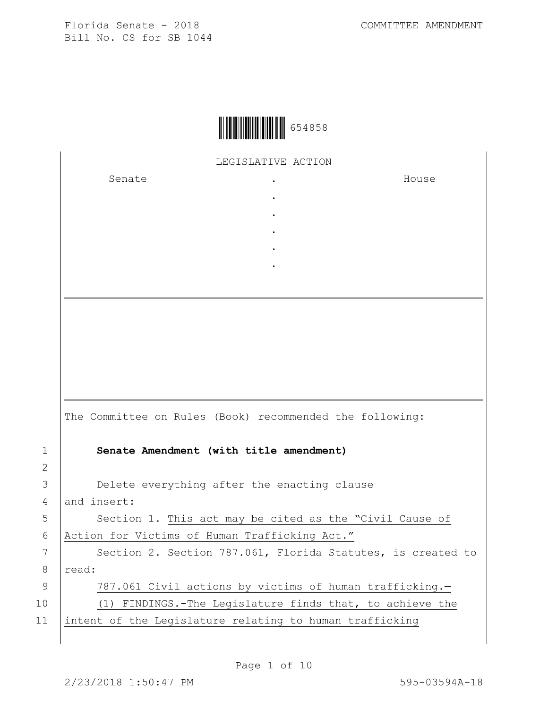

LEGISLATIVE ACTION

. . . . .

Senate .

House

|    | The Committee on Rules (Book) recommended the following:    |
|----|-------------------------------------------------------------|
| 1  | Senate Amendment (with title amendment)                     |
| 2  |                                                             |
| 3  | Delete everything after the enacting clause                 |
| 4  | and insert:                                                 |
| 5  | Section 1. This act may be cited as the "Civil Cause of     |
| 6  | Action for Victims of Human Trafficking Act."               |
| 7  | Section 2. Section 787.061, Florida Statutes, is created to |
| 8  | read:                                                       |
| 9  | 787.061 Civil actions by victims of human trafficking.-     |
| 10 | (1) FINDINGS.-The Legislature finds that, to achieve the    |
| 11 | intent of the Legislature relating to human trafficking     |
|    |                                                             |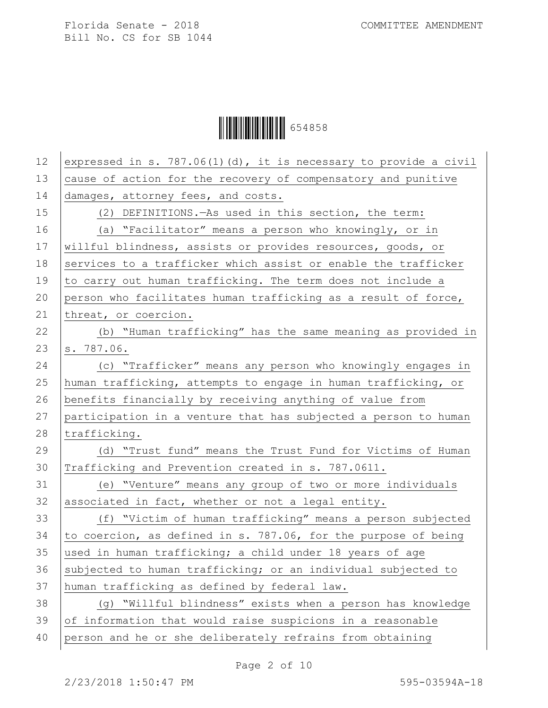| 12 | expressed in s. 787.06(1)(d), it is necessary to provide a civil |
|----|------------------------------------------------------------------|
| 13 | cause of action for the recovery of compensatory and punitive    |
| 14 | damages, attorney fees, and costs.                               |
| 15 | (2) DEFINITIONS. - As used in this section, the term:            |
| 16 | (a) "Facilitator" means a person who knowingly, or in            |
| 17 | willful blindness, assists or provides resources, goods, or      |
| 18 | services to a trafficker which assist or enable the trafficker   |
| 19 | to carry out human trafficking. The term does not include a      |
| 20 | person who facilitates human trafficking as a result of force,   |
| 21 | threat, or coercion.                                             |
| 22 | (b) "Human trafficking" has the same meaning as provided in      |
| 23 | s. 787.06.                                                       |
| 24 | (c) "Trafficker" means any person who knowingly engages in       |
| 25 | human trafficking, attempts to engage in human trafficking, or   |
| 26 | benefits financially by receiving anything of value from         |
| 27 | participation in a venture that has subjected a person to human  |
| 28 | trafficking.                                                     |
| 29 | (d) "Trust fund" means the Trust Fund for Victims of Human       |
| 30 | Trafficking and Prevention created in s. 787.0611.               |
| 31 | (e) "Venture" means any group of two or more individuals         |
| 32 | associated in fact, whether or not a legal entity.               |
| 33 | (f) "Victim of human trafficking" means a person subjected       |
| 34 | to coercion, as defined in s. 787.06, for the purpose of being   |
| 35 | used in human trafficking; a child under 18 years of age         |
| 36 | subjected to human trafficking; or an individual subjected to    |
| 37 | human trafficking as defined by federal law.                     |
| 38 | (g) "Willful blindness" exists when a person has knowledge       |
| 39 | of information that would raise suspicions in a reasonable       |
| 40 | person and he or she deliberately refrains from obtaining        |
|    |                                                                  |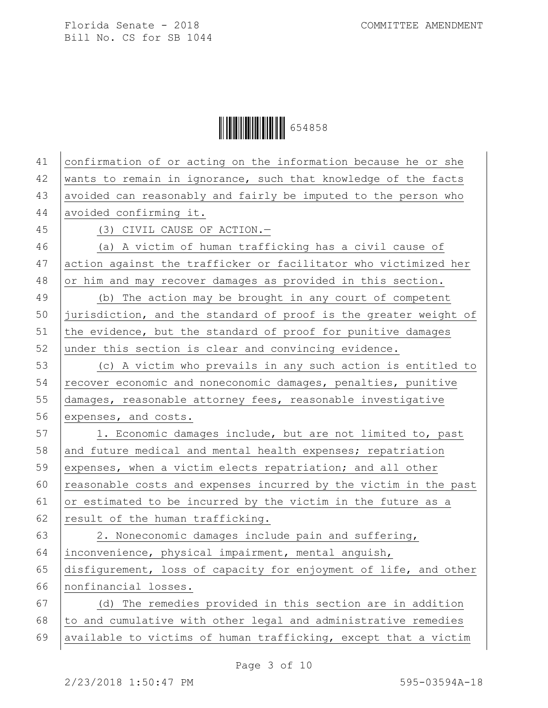| 41 | confirmation of or acting on the information because he or she   |
|----|------------------------------------------------------------------|
| 42 | wants to remain in ignorance, such that knowledge of the facts   |
| 43 | avoided can reasonably and fairly be imputed to the person who   |
| 44 | avoided confirming it.                                           |
| 45 | (3) CIVIL CAUSE OF ACTION.-                                      |
| 46 | (a) A victim of human trafficking has a civil cause of           |
| 47 | action against the trafficker or facilitator who victimized her  |
| 48 | or him and may recover damages as provided in this section.      |
| 49 | (b) The action may be brought in any court of competent          |
| 50 | jurisdiction, and the standard of proof is the greater weight of |
| 51 | the evidence, but the standard of proof for punitive damages     |
| 52 | under this section is clear and convincing evidence.             |
| 53 | (c) A victim who prevails in any such action is entitled to      |
| 54 | recover economic and noneconomic damages, penalties, punitive    |
| 55 | damages, reasonable attorney fees, reasonable investigative      |
| 56 | expenses, and costs.                                             |
| 57 | 1. Economic damages include, but are not limited to, past        |
| 58 | and future medical and mental health expenses; repatriation      |
| 59 | expenses, when a victim elects repatriation; and all other       |
| 60 | reasonable costs and expenses incurred by the victim in the past |
| 61 | or estimated to be incurred by the victim in the future as a     |
| 62 | result of the human trafficking.                                 |
| 63 | 2. Noneconomic damages include pain and suffering,               |
| 64 | inconvenience, physical impairment, mental anguish,              |
| 65 | disfigurement, loss of capacity for enjoyment of life, and other |
| 66 | nonfinancial losses.                                             |
| 67 | (d) The remedies provided in this section are in addition        |
| 68 | to and cumulative with other legal and administrative remedies   |
| 69 | available to victims of human trafficking, except that a victim  |
|    |                                                                  |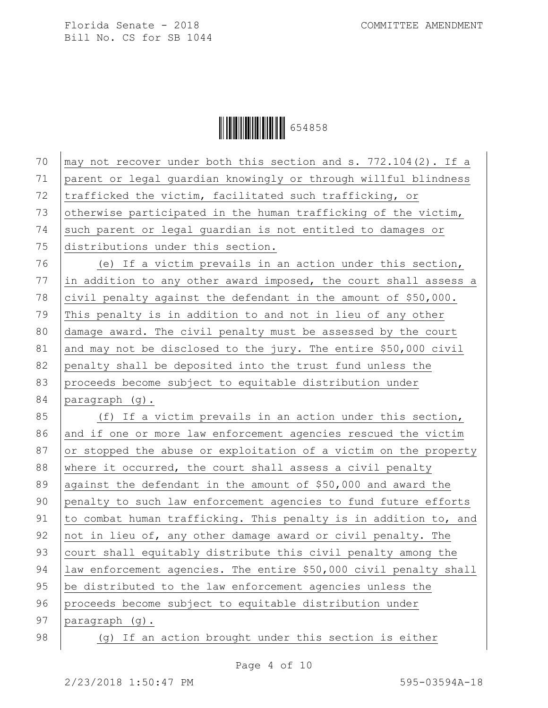| 70 | may not recover under both this section and s. 772.104(2). If a   |
|----|-------------------------------------------------------------------|
| 71 | parent or legal guardian knowingly or through willful blindness   |
| 72 | trafficked the victim, facilitated such trafficking, or           |
| 73 | otherwise participated in the human trafficking of the victim,    |
| 74 | such parent or legal guardian is not entitled to damages or       |
| 75 | distributions under this section.                                 |
| 76 | (e) If a victim prevails in an action under this section,         |
| 77 | in addition to any other award imposed, the court shall assess a  |
| 78 | civil penalty against the defendant in the amount of \$50,000.    |
| 79 | This penalty is in addition to and not in lieu of any other       |
| 80 | damage award. The civil penalty must be assessed by the court     |
| 81 | and may not be disclosed to the jury. The entire \$50,000 civil   |
| 82 | penalty shall be deposited into the trust fund unless the         |
| 83 | proceeds become subject to equitable distribution under           |
| 84 | paragraph (g).                                                    |
| 85 | (f) If a victim prevails in an action under this section,         |
| 86 | and if one or more law enforcement agencies rescued the victim    |
| 87 | or stopped the abuse or exploitation of a victim on the property  |
| 88 | where it occurred, the court shall assess a civil penalty         |
| 89 | against the defendant in the amount of \$50,000 and award the     |
| 90 | penalty to such law enforcement agencies to fund future efforts   |
| 91 | to combat human trafficking. This penalty is in addition to, and  |
| 92 | not in lieu of, any other damage award or civil penalty. The      |
| 93 | court shall equitably distribute this civil penalty among the     |
| 94 | law enforcement agencies. The entire \$50,000 civil penalty shall |
| 95 | be distributed to the law enforcement agencies unless the         |
| 96 | proceeds become subject to equitable distribution under           |
| 97 | paragraph (g).                                                    |
| 98 | (g) If an action brought under this section is either             |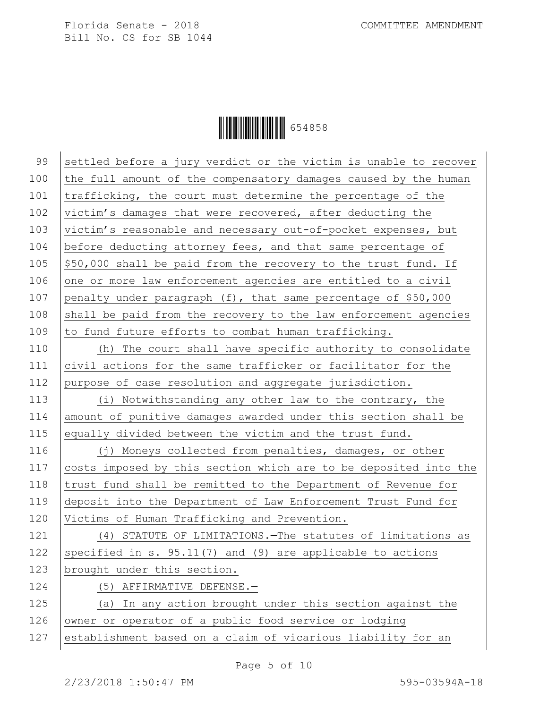| 99  | settled before a jury verdict or the victim is unable to recover |
|-----|------------------------------------------------------------------|
| 100 | the full amount of the compensatory damages caused by the human  |
| 101 | trafficking, the court must determine the percentage of the      |
| 102 | victim's damages that were recovered, after deducting the        |
| 103 | victim's reasonable and necessary out-of-pocket expenses, but    |
| 104 | before deducting attorney fees, and that same percentage of      |
| 105 | \$50,000 shall be paid from the recovery to the trust fund. If   |
| 106 | one or more law enforcement agencies are entitled to a civil     |
| 107 | penalty under paragraph (f), that same percentage of \$50,000    |
| 108 | shall be paid from the recovery to the law enforcement agencies  |
| 109 | to fund future efforts to combat human trafficking.              |
| 110 | (h) The court shall have specific authority to consolidate       |
| 111 | civil actions for the same trafficker or facilitator for the     |
| 112 | purpose of case resolution and aggregate jurisdiction.           |
| 113 | (i) Notwithstanding any other law to the contrary, the           |
| 114 | amount of punitive damages awarded under this section shall be   |
| 115 | equally divided between the victim and the trust fund.           |
| 116 | (j) Moneys collected from penalties, damages, or other           |
| 117 | costs imposed by this section which are to be deposited into the |
| 118 | trust fund shall be remitted to the Department of Revenue for    |
| 119 | deposit into the Department of Law Enforcement Trust Fund for    |
| 120 | Victims of Human Trafficking and Prevention.                     |
| 121 | (4) STATUTE OF LIMITATIONS. The statutes of limitations as       |
| 122 | specified in s. $95.11(7)$ and (9) are applicable to actions     |
| 123 | brought under this section.                                      |
| 124 | (5) AFFIRMATIVE DEFENSE.-                                        |
| 125 | (a) In any action brought under this section against the         |
| 126 | owner or operator of a public food service or lodging            |
| 127 | establishment based on a claim of vicarious liability for an     |
|     |                                                                  |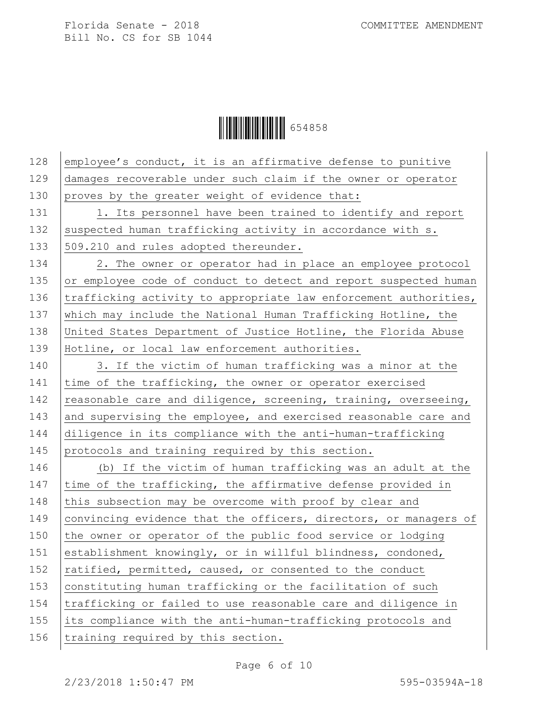Ì654858ZÎ654858

| 128 | employee's conduct, it is an affirmative defense to punitive     |
|-----|------------------------------------------------------------------|
| 129 | damages recoverable under such claim if the owner or operator    |
| 130 | proves by the greater weight of evidence that:                   |
| 131 | 1. Its personnel have been trained to identify and report        |
| 132 | suspected human trafficking activity in accordance with s.       |
| 133 | 509.210 and rules adopted thereunder.                            |
| 134 | 2. The owner or operator had in place an employee protocol       |
| 135 | or employee code of conduct to detect and report suspected human |
| 136 | trafficking activity to appropriate law enforcement authorities, |
| 137 | which may include the National Human Trafficking Hotline, the    |
| 138 | United States Department of Justice Hotline, the Florida Abuse   |
| 139 | Hotline, or local law enforcement authorities.                   |
| 140 | 3. If the victim of human trafficking was a minor at the         |
| 141 | time of the trafficking, the owner or operator exercised         |
| 142 | reasonable care and diligence, screening, training, overseeing,  |
| 143 | and supervising the employee, and exercised reasonable care and  |
| 144 | diligence in its compliance with the anti-human-trafficking      |
| 145 | protocols and training required by this section.                 |
| 146 | (b) If the victim of human trafficking was an adult at the       |
| 147 | time of the trafficking, the affirmative defense provided in     |
| 148 | this subsection may be overcome with proof by clear and          |
| 149 | convincing evidence that the officers, directors, or managers of |
| 150 | the owner or operator of the public food service or lodging      |
| 151 | establishment knowingly, or in willful blindness, condoned,      |
| 152 | ratified, permitted, caused, or consented to the conduct         |
| 153 | constituting human trafficking or the facilitation of such       |
| 154 | trafficking or failed to use reasonable care and diligence in    |
| 155 | its compliance with the anti-human-trafficking protocols and     |
| 156 | training required by this section.                               |
|     |                                                                  |

Page 6 of 10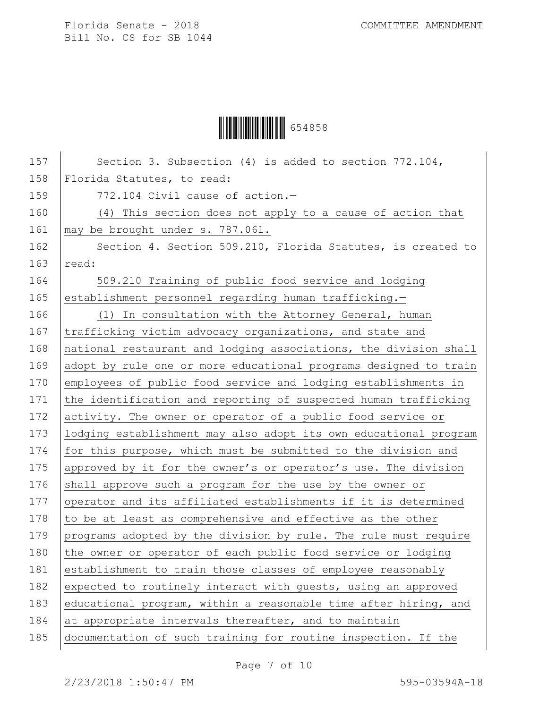

| 157 | Section 3. Subsection (4) is added to section $772.104$ ,        |
|-----|------------------------------------------------------------------|
| 158 | Florida Statutes, to read:                                       |
| 159 | 772.104 Civil cause of action.-                                  |
| 160 | (4) This section does not apply to a cause of action that        |
| 161 | may be brought under s. 787.061.                                 |
| 162 | Section 4. Section 509.210, Florida Statutes, is created to      |
| 163 | read:                                                            |
| 164 | 509.210 Training of public food service and lodging              |
| 165 | establishment personnel regarding human trafficking.-            |
| 166 | (1) In consultation with the Attorney General, human             |
| 167 | trafficking victim advocacy organizations, and state and         |
| 168 | national restaurant and lodging associations, the division shall |
| 169 | adopt by rule one or more educational programs designed to train |
| 170 | employees of public food service and lodging establishments in   |
| 171 | the identification and reporting of suspected human trafficking  |
| 172 | activity. The owner or operator of a public food service or      |
| 173 | lodging establishment may also adopt its own educational program |
| 174 | for this purpose, which must be submitted to the division and    |
| 175 | approved by it for the owner's or operator's use. The division   |
| 176 | shall approve such a program for the use by the owner or         |
| 177 | operator and its affiliated establishments if it is determined   |
| 178 | to be at least as comprehensive and effective as the other       |
| 179 | programs adopted by the division by rule. The rule must require  |
| 180 | the owner or operator of each public food service or lodging     |
| 181 | establishment to train those classes of employee reasonably      |
| 182 | expected to routinely interact with guests, using an approved    |
| 183 | educational program, within a reasonable time after hiring, and  |
| 184 | at appropriate intervals thereafter, and to maintain             |
| 185 | documentation of such training for routine inspection. If the    |

Page 7 of 10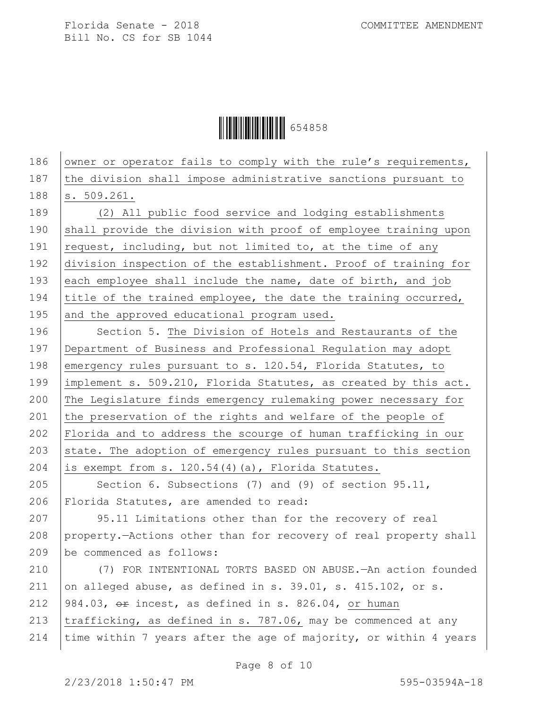Ì654858ZÎ654858

186 owner or operator fails to comply with the rule's requirements, 187 the division shall impose administrative sanctions pursuant to 188 s. 509.261. 189 (2) All public food service and lodging establishments 190 shall provide the division with proof of employee training upon 191  $\vert$  request, including, but not limited to, at the time of any 192 division inspection of the establishment. Proof of training for 193 each employee shall include the name, date of birth, and job 194 title of the trained employee, the date the training occurred, 195 and the approved educational program used. 196 | Section 5. The Division of Hotels and Restaurants of the 197 Department of Business and Professional Regulation may adopt

198 emergency rules pursuant to s. 120.54, Florida Statutes, to 199 | implement s. 509.210, Florida Statutes, as created by this act. 200 The Legislature finds emergency rulemaking power necessary for 201 the preservation of the rights and welfare of the people of 202 Florida and to address the scourge of human trafficking in our 203 state. The adoption of emergency rules pursuant to this section 204 is exempt from s.  $120.54(4)(a)$ , Florida Statutes.

205 Section 6. Subsections (7) and (9) of section 95.11, 206 Florida Statutes, are amended to read:

207 95.11 Limitations other than for the recovery of real 208 property.—Actions other than for recovery of real property shall 209 be commenced as follows:

210 (7) FOR INTENTIONAL TORTS BASED ON ABUSE.—An action founded 211 on alleged abuse, as defined in s. 39.01, s. 415.102, or s. 212  $\left| 984.03, \right.$   $\sigma$  exincest, as defined in s. 826.04, or human 213  $|$ trafficking, as defined in s. 787.06, may be commenced at any 214 | time within 7 years after the age of majority, or within 4 years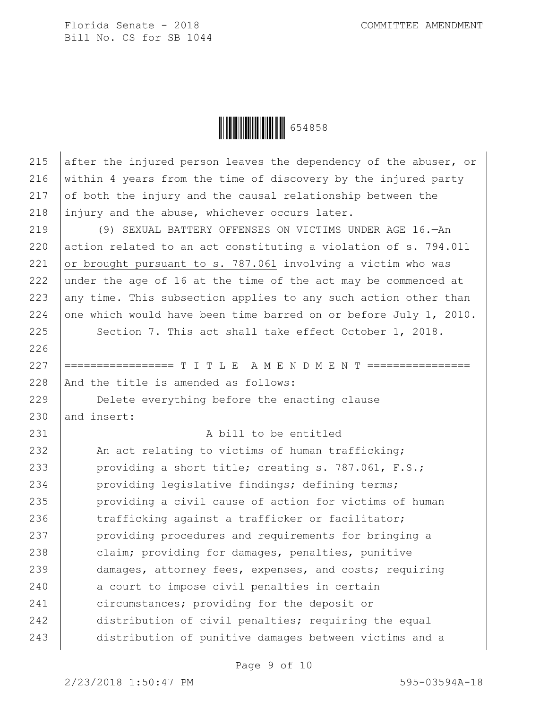Ì654858ZÎ654858

215 after the injured person leaves the dependency of the abuser, or 216 within 4 years from the time of discovery by the injured party 217  $\sigma$  of both the injury and the causal relationship between the 218 injury and the abuse, whichever occurs later.

219 (9) SEXUAL BATTERY OFFENSES ON VICTIMS UNDER AGE 16.—An 220 action related to an act constituting a violation of  $s$ . 794.011 221 or brought pursuant to s. 787.061 involving a victim who was 222 under the age of 16 at the time of the act may be commenced at 223 any time. This subsection applies to any such action other than 224 one which would have been time barred on or before July 1, 2010.

225 Section 7. This act shall take effect October 1, 2018.

227 ================= T I T L E A M E N D M E N T ================ 228 And the title is amended as follows:

229 **Delete everything before the enacting clause**  $230$  and insert:

## 231 A bill to be entitled

232 An act relating to victims of human trafficking; 233 providing a short title; creating s. 787.061, F.S.; 234 providing legislative findings; defining terms; 235 | providing a civil cause of action for victims of human 236 trafficking against a trafficker or facilitator; 237 | providing procedures and requirements for bringing a 238 claim; providing for damages, penalties, punitive 239 damages, attorney fees, expenses, and costs; requiring 240 a court to impose civil penalties in certain 241 circumstances; providing for the deposit or 242 distribution of civil penalties; requiring the equal 243 distribution of punitive damages between victims and a

Page 9 of 10

226